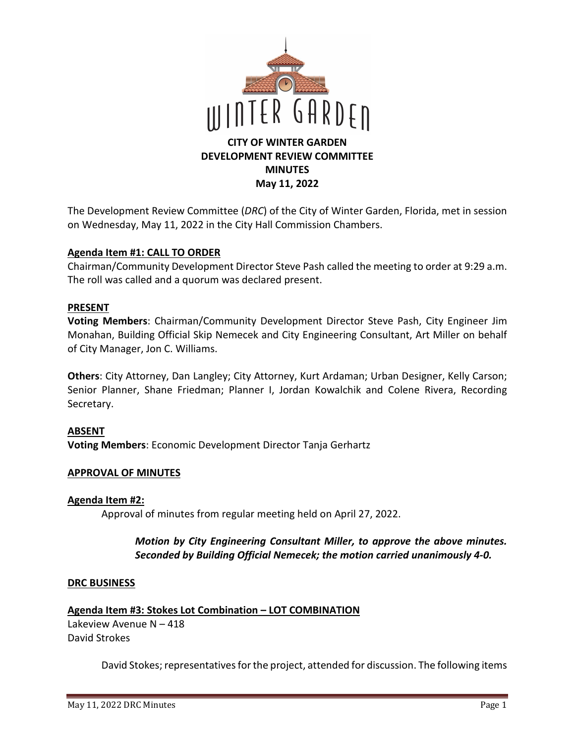

The Development Review Committee (*DRC*) of the City of Winter Garden, Florida, met in session on Wednesday, May 11, 2022 in the City Hall Commission Chambers.

## **Agenda Item #1: CALL TO ORDER**

Chairman/Community Development Director Steve Pash called the meeting to order at 9:29 a.m. The roll was called and a quorum was declared present.

## **PRESENT**

**Voting Members**: Chairman/Community Development Director Steve Pash, City Engineer Jim Monahan, Building Official Skip Nemecek and City Engineering Consultant, Art Miller on behalf of City Manager, Jon C. Williams.

**Others**: City Attorney, Dan Langley; City Attorney, Kurt Ardaman; Urban Designer, Kelly Carson; Senior Planner, Shane Friedman; Planner I, Jordan Kowalchik and Colene Rivera, Recording Secretary.

## **ABSENT**

**Voting Members**: Economic Development Director Tanja Gerhartz

## **APPROVAL OF MINUTES**

## **Agenda Item #2:**

Approval of minutes from regular meeting held on April 27, 2022.

## *Motion by City Engineering Consultant Miller, to approve the above minutes. Seconded by Building Official Nemecek; the motion carried unanimously 4-0.*

## **DRC BUSINESS**

**Agenda Item #3: Stokes Lot Combination – LOT COMBINATION**  Lakeview Avenue N – 418

David Strokes

David Stokes; representatives for the project, attended for discussion. The following items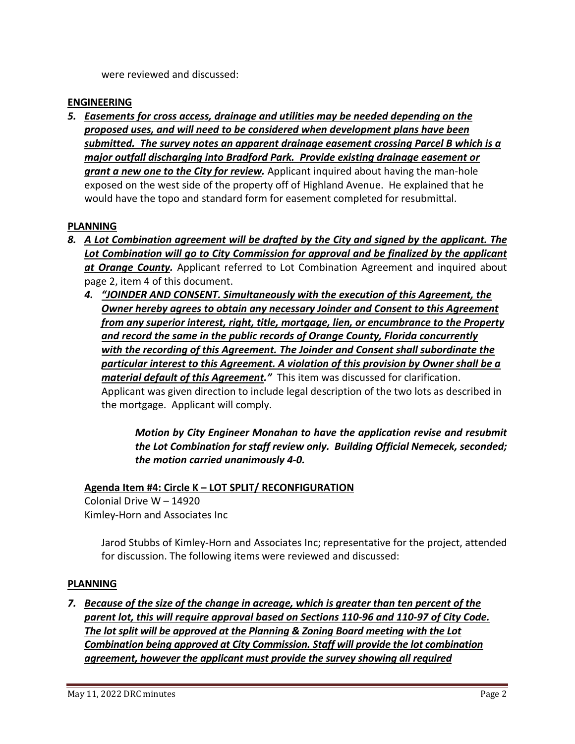were reviewed and discussed:

# **ENGINEERING**

*5. Easements for cross access, drainage and utilities may be needed depending on the proposed uses, and will need to be considered when development plans have been submitted. The survey notes an apparent drainage easement crossing Parcel B which is a major outfall discharging into Bradford Park. Provide existing drainage easement or grant a new one to the City for review.* Applicant inquired about having the man-hole exposed on the west side of the property off of Highland Avenue. He explained that he would have the topo and standard form for easement completed for resubmittal.

# **PLANNING**

- *8. A Lot Combination agreement will be drafted by the City and signed by the applicant. The*  Lot Combination will go to City Commission for approval and be finalized by the applicant *at Orange County.* Applicant referred to Lot Combination Agreement and inquired about page 2, item 4 of this document.
	- *4. "JOINDER AND CONSENT. Simultaneously with the execution of this Agreement, the Owner hereby agrees to obtain any necessary Joinder and Consent to this Agreement from any superior interest, right, title, mortgage, lien, or encumbrance to the Property and record the same in the public records of Orange County, Florida concurrently with the recording of this Agreement. The Joinder and Consent shall subordinate the particular interest to this Agreement. A violation of this provision by Owner shall be a material default of this Agreement."* This item was discussed for clarification. Applicant was given direction to include legal description of the two lots as described in the mortgage. Applicant will comply.

*Motion by City Engineer Monahan to have the application revise and resubmit the Lot Combination for staff review only. Building Official Nemecek, seconded; the motion carried unanimously 4-0.* 

# **Agenda Item #4: Circle K – LOT SPLIT/ RECONFIGURATION**

Colonial Drive W – 14920 Kimley-Horn and Associates Inc

> Jarod Stubbs of Kimley-Horn and Associates Inc; representative for the project, attended for discussion. The following items were reviewed and discussed:

# **PLANNING**

*7. Because of the size of the change in acreage, which is greater than ten percent of the parent lot, this will require approval based on Sections 110-96 and 110-97 of City Code. The lot split will be approved at the Planning & Zoning Board meeting with the Lot Combination being approved at City Commission. Staff will provide the lot combination agreement, however the applicant must provide the survey showing all required*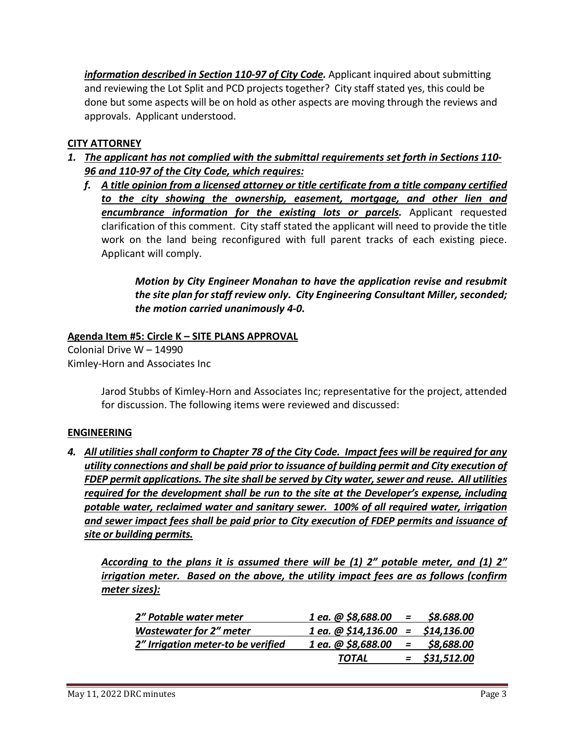information described in Section 110-97 of City Code. Applicant inquired about submitting and reviewing the Lot Split and PCD projects together? City staff stated yes, this could be done but some aspects will be on hold as other aspects are moving through the reviews and approvals. Applicant understood.

# **CITY ATTORNEY**

- *1. The applicant has not complied with the submittal requirements set forth in Sections 110- 96 and 110-97 of the City Code, which requires:* 
	- *f. A title opinion from a licensed attorney or title certificate from a title company certified to the city showing the ownership, easement, mortgage, and other lien and encumbrance information for the existing lots or parcels. Applicant requested* clarification of this comment. City staff stated the applicant will need to provide the title work on the land being reconfigured with full parent tracks of each existing piece. Applicant will comply.

*Motion by City Engineer Monahan to have the application revise and resubmit the site plan for staff review only. City Engineering Consultant Miller, seconded; the motion carried unanimously 4-0.* 

# **Agenda Item #5: Circle K – SITE PLANS APPROVAL**

Colonial Drive W – 14990 Kimley-Horn and Associates Inc

> Jarod Stubbs of Kimley-Horn and Associates Inc; representative for the project, attended for discussion. The following items were reviewed and discussed:

## **ENGINEERING**

*4. All utilities shall conform to Chapter 78 of the City Code. Impact fees will be required for any utility connections and shall be paid prior to issuance of building permit and City execution of FDEP permit applications. The site shall be served by City water, sewer and reuse. All utilities required for the development shall be run to the site at the Developer's expense, including potable water, reclaimed water and sanitary sewer. 100% of all required water, irrigation and sewer impact fees shall be paid prior to City execution of FDEP permits and issuance of site or building permits.* 

*According to the plans it is assumed there will be (1) 2" potable meter, and (1) 2" irrigation meter. Based on the above, the utility impact fees are as follows (confirm meter sizes):* 

| 2" Potable water meter             | $1$ ea. @ \$8,688.00 = \$8.688.00     |     |                 |
|------------------------------------|---------------------------------------|-----|-----------------|
| <b>Wastewater for 2" meter</b>     | $1$ ea. $@$ \$14,136.00 = \$14,136.00 |     |                 |
| 2" Irrigation meter-to be verified | 1 ea. @ \$8,688.00                    | $=$ | \$8,688.00      |
|                                    | TOTAL                                 |     | $=$ \$31,512.00 |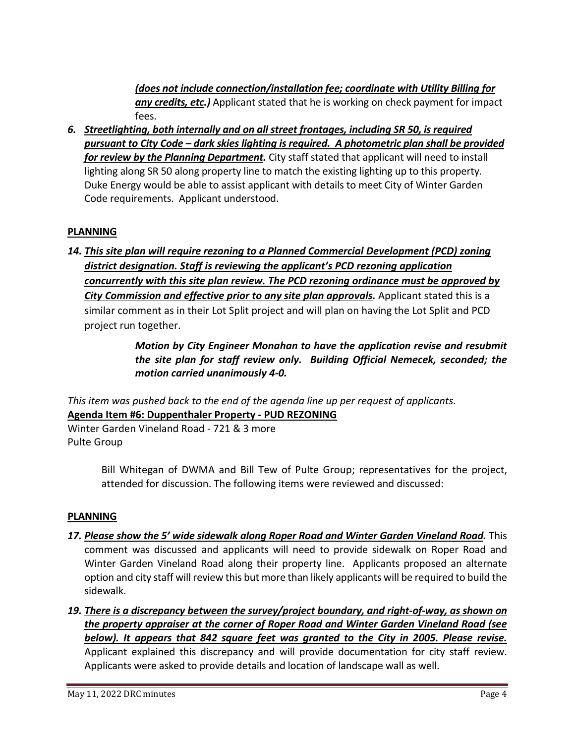*(does not include connection/installation fee; coordinate with Utility Billing for any credits, etc.)* Applicant stated that he is working on check payment for impact fees.

*6. Streetlighting, both internally and on all street frontages, including SR 50, is required pursuant to City Code – dark skies lighting is required. A photometric plan shall be provided for review by the Planning Department.* City staff stated that applicant will need to install lighting along SR 50 along property line to match the existing lighting up to this property. Duke Energy would be able to assist applicant with details to meet City of Winter Garden Code requirements. Applicant understood.

# **PLANNING**

*14. This site plan will require rezoning to a Planned Commercial Development (PCD) zoning district designation. Staff is reviewing the applicant's PCD rezoning application concurrently with this site plan review. The PCD rezoning ordinance must be approved by*  **City Commission and effective prior to any site plan approvals.** Applicant stated this is a similar comment as in their Lot Split project and will plan on having the Lot Split and PCD project run together.

# *Motion by City Engineer Monahan to have the application revise and resubmit the site plan for staff review only. Building Official Nemecek, seconded; the motion carried unanimously 4-0.*

*This item was pushed back to the end of the agenda line up per request of applicants.*  **Agenda Item #6: Duppenthaler Property - PUD REZONING**  Winter Garden Vineland Road - 721 & 3 more

Pulte Group

Bill Whitegan of DWMA and Bill Tew of Pulte Group; representatives for the project, attended for discussion. The following items were reviewed and discussed:

# **PLANNING**

- 17. Please show the 5' wide sidewalk along Roper Road and Winter Garden Vineland Road. This comment was discussed and applicants will need to provide sidewalk on Roper Road and Winter Garden Vineland Road along their property line. Applicants proposed an alternate option and city staff will review this but more than likely applicants will be required to build the sidewalk.
- *19. There is a discrepancy between the survey/project boundary, and right-of-way, as shown on the property appraiser at the corner of Roper Road and Winter Garden Vineland Road (see below). It appears that 842 square feet was granted to the City in 2005. Please revise.*  Applicant explained this discrepancy and will provide documentation for city staff review. Applicants were asked to provide details and location of landscape wall as well.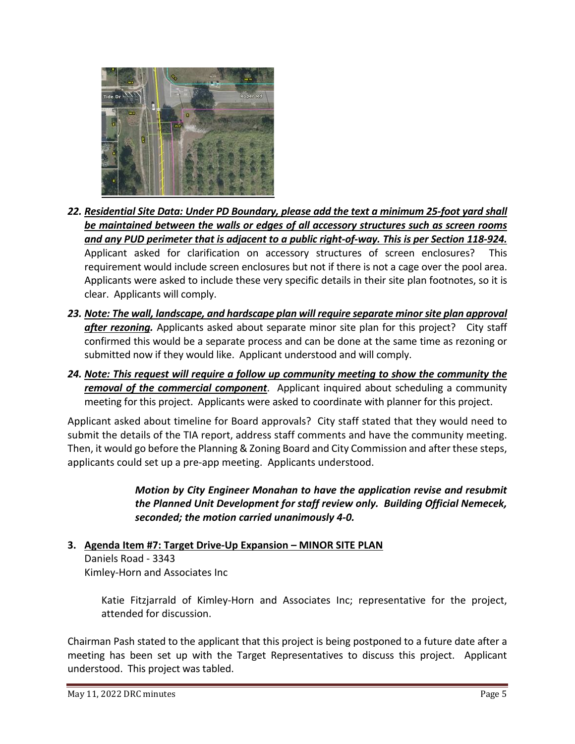

- *22. Residential Site Data: Under PD Boundary, please add the text a minimum 25-foot yard shall be maintained between the walls or edges of all accessory structures such as screen rooms and any PUD perimeter that is adjacent to a public right-of-way. This is per Section 118-924.*  Applicant asked for clarification on accessory structures of screen enclosures? This requirement would include screen enclosures but not if there is not a cage over the pool area. Applicants were asked to include these very specific details in their site plan footnotes, so it is clear. Applicants will comply.
- *23. Note: The wall, landscape, and hardscape plan will require separate minor site plan approval after rezoning.* Applicants asked about separate minor site plan for this project? City staff confirmed this would be a separate process and can be done at the same time as rezoning or submitted now if they would like. Applicant understood and will comply.
- *24. Note: This request will require a follow up community meeting to show the community the removal of the commercial component*. Applicant inquired about scheduling a community meeting for this project. Applicants were asked to coordinate with planner for this project.

Applicant asked about timeline for Board approvals? City staff stated that they would need to submit the details of the TIA report, address staff comments and have the community meeting. Then, it would go before the Planning & Zoning Board and City Commission and after these steps, applicants could set up a pre-app meeting. Applicants understood.

> *Motion by City Engineer Monahan to have the application revise and resubmit the Planned Unit Development for staff review only. Building Official Nemecek, seconded; the motion carried unanimously 4-0.*

**3. Agenda Item #7: Target Drive-Up Expansion – MINOR SITE PLAN**  Daniels Road - 3343 Kimley-Horn and Associates Inc

Katie Fitzjarrald of Kimley-Horn and Associates Inc; representative for the project, attended for discussion.

Chairman Pash stated to the applicant that this project is being postponed to a future date after a meeting has been set up with the Target Representatives to discuss this project. Applicant understood. This project was tabled.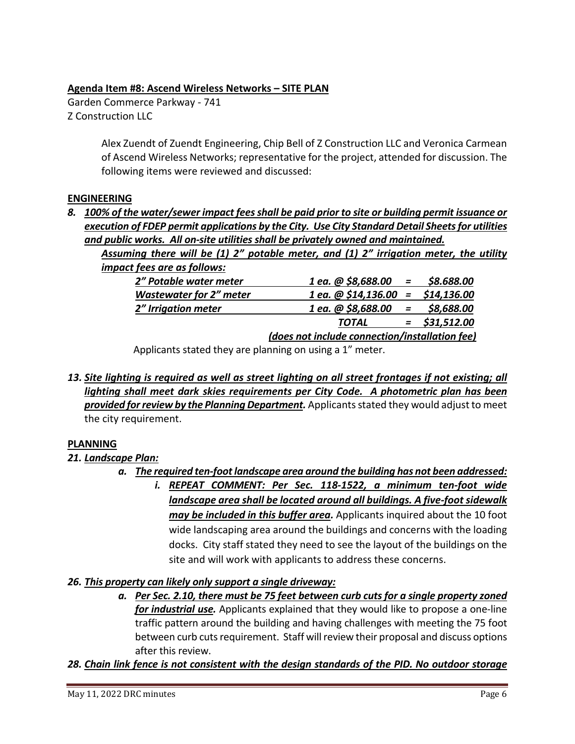# **Agenda Item #8: Ascend Wireless Networks – SITE PLAN**

Garden Commerce Parkway - 741 Z Construction LLC

> Alex Zuendt of Zuendt Engineering, Chip Bell of Z Construction LLC and Veronica Carmean of Ascend Wireless Networks; representative for the project, attended for discussion. The following items were reviewed and discussed:

# **ENGINEERING**

*8. 100% of the water/sewer impact fees shall be paid prior to site or building permit issuance or execution of FDEP permit applications by the City. Use City Standard Detail Sheets for utilities and public works. All on-site utilities shall be privately owned and maintained.* 

*Assuming there will be (1) 2" potable meter, and (1) 2" irrigation meter, the utility impact fees are as follows:* 

| 2" Potable water meter         | $1$ ea. @ \$8,688.00 = \$8.688.00              |                           |                 |
|--------------------------------|------------------------------------------------|---------------------------|-----------------|
| <b>Wastewater for 2" meter</b> | $1$ ea. $@$ \$14,136.00 = \$14,136.00          |                           |                 |
| 2" Irrigation meter            | 1 ea. @ \$8,688.00                             | $\mathbf{r} = \mathbf{r}$ | \$8,688.00      |
|                                | <b>TOTAL</b>                                   |                           | $=$ \$31,512.00 |
|                                | (does not include connection/installation fee) |                           |                 |

Applicants stated they are planning on using a 1" meter.

*13. Site lighting is required as well as street lighting on all street frontages if not existing; all lighting shall meet dark skies requirements per City Code. A photometric plan has been provided for review by the Planning Department.* Applicants stated they would adjust to meet the city requirement.

# **PLANNING**

# *21. Landscape Plan:*

- *a. The required ten-foot landscape area around the building has not been addressed:* 
	- *i. REPEAT COMMENT: Per Sec. 118-1522, a minimum ten-foot wide landscape area shall be located around all buildings. A five-foot sidewalk may be included in this buffer area.* Applicants inquired about the 10 foot wide landscaping area around the buildings and concerns with the loading docks. City staff stated they need to see the layout of the buildings on the site and will work with applicants to address these concerns.

# *26. This property can likely only support a single driveway:*

*a. Per Sec. 2.10, there must be 75 feet between curb cuts for a single property zoned for industrial use.* Applicants explained that they would like to propose a one-line traffic pattern around the building and having challenges with meeting the 75 foot between curb cuts requirement. Staff will review their proposal and discuss options after this review.

*28. Chain link fence is not consistent with the design standards of the PID. No outdoor storage*